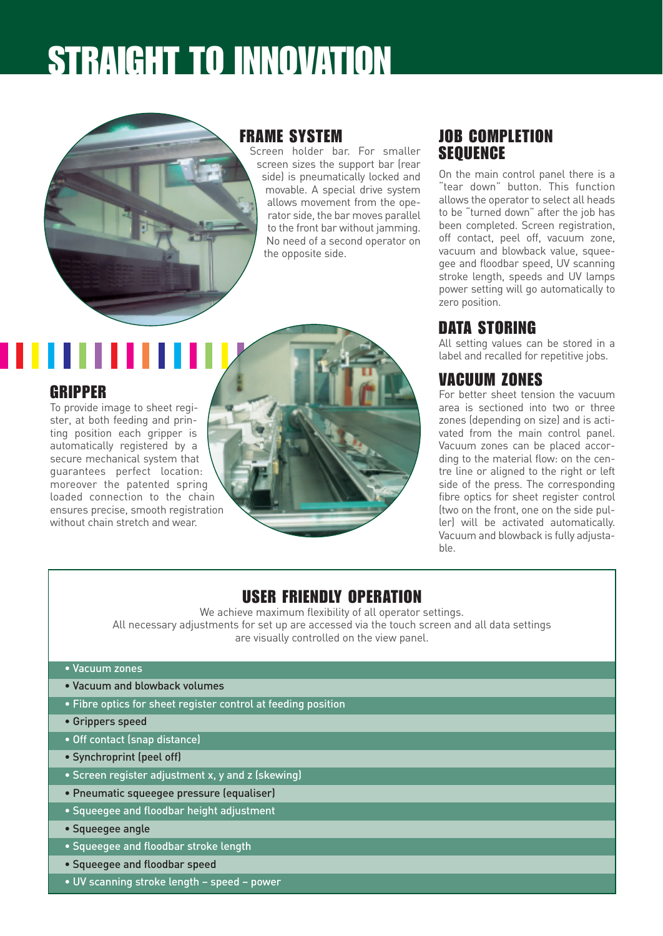### STRAIGHT TO INNOVATION



#### FRAME SYSTEM

Screen holder bar. For smaller screen sizes the support bar (rear side) is pneumatically locked and movable. A special drive system allows movement from the operator side, the bar moves parallel to the front bar without jamming. No need of a second operator on the opposite side.

#### JOB COMPLETION **SEQUENCE**

On the main control panel there is a "tear down" button. This function allows the operator to select all heads to be "turned down" after the job has been completed. Screen registration, off contact, peel off, vacuum zone, vacuum and blowback value, squeegee and floodbar speed, UV scanning stroke length, speeds and UV lamps power setting will go automatically to zero position.

#### DATA STORING

All setting values can be stored in a label and recalled for repetitive jobs.

#### VACUUM ZONES

For better sheet tension the vacuum area is sectioned into two or three zones (depending on size) and is activated from the main control panel. Vacuum zones can be placed according to the material flow: on the centre line or aligned to the right or left side of the press. The corresponding fibre optics for sheet register control (two on the front, one on the side puller) will be activated automatically. Vacuum and blowback is fully adjustable.

# loaded connection to the chain ensures precise, smooth registration

#### USER FRIENDLY OPERATION

We achieve maximum flexibility of all operator settings. All necessary adjustments for set up are accessed via the touch screen and all data settings are visually controlled on the view panel.

• Vacuum zones

GRIPPER

To provide image to sheet register, at both feeding and printing position each gripper is automatically registered by a secure mechanical system that guarantees perfect location: moreover the patented spring

without chain stretch and wear

- Vacuum and blowback volumes
- Fibre optics for sheet register control at feeding position
- Grippers speed
- Off contact (snap distance)
- Synchroprint (peel off)
- Screen register adjustment x, y and z (skewing)
- Pneumatic squeegee pressure (equaliser)
- Squeegee and floodbar height adjustment
- Squeegee angle
- Squeegee and floodbar stroke length
- Squeegee and floodbar speed
- UV scanning stroke length speed power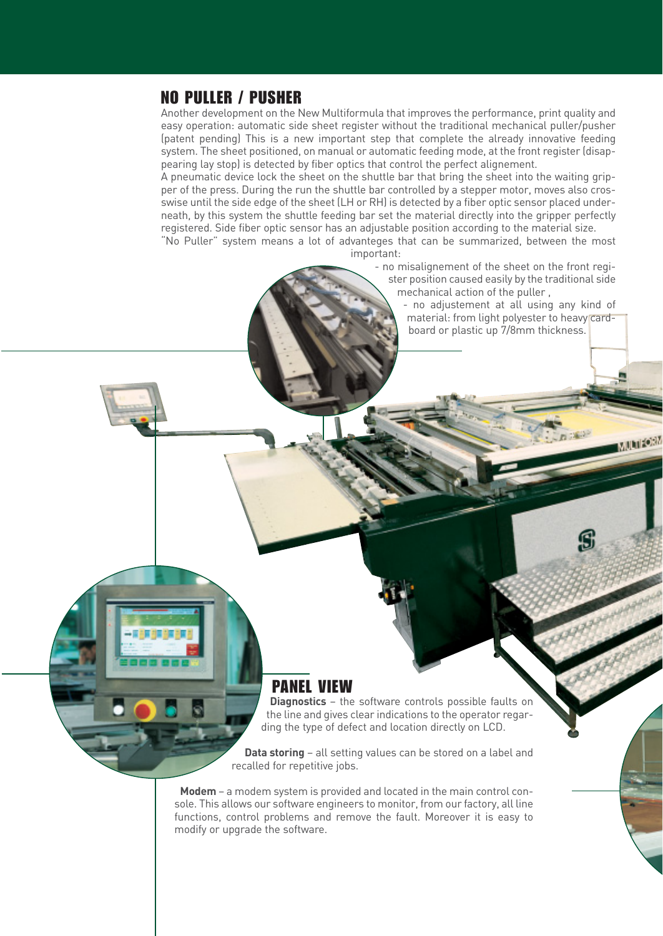#### NO PULLER / PUSHER

Another development on the New Multiformula that improves the performance, print quality and easy operation: automatic side sheet register without the traditional mechanical puller/pusher (patent pending) This is a new important step that complete the already innovative feeding system. The sheet positioned, on manual or automatic feeding mode, at the front register (disappearing lay stop) is detected by fiber optics that control the perfect alignement.

A pneumatic device lock the sheet on the shuttle bar that bring the sheet into the waiting gripper of the press. During the run the shuttle bar controlled by a stepper motor, moves also crosswise until the side edge of the sheet (LH or RH) is detected by a fiber optic sensor placed underneath, by this system the shuttle feeding bar set the material directly into the gripper perfectly registered. Side fiber optic sensor has an adjustable position according to the material size.

"No Puller" system means a lot of advanteges that can be summarized, between the most important:

- no misalignement of the sheet on the front register position caused easily by the traditional side mechanical action of the puller ,

> - no adjustement at all using any kind of material: from light polyester to heavy cardboard or plastic up 7/8mm thickness.

> > **MARIZON**

#### PANEL VIEW

**Diagnostics** – the software controls possible faults on the line and gives clear indications to the operator regarding the type of defect and location directly on LCD.

**Data storing** – all setting values can be stored on a label and recalled for repetitive jobs.

**Modem** – a modem system is provided and located in the main control console. This allows our software engineers to monitor, from our factory, all line functions, control problems and remove the fault. Moreover it is easy to modify or upgrade the software.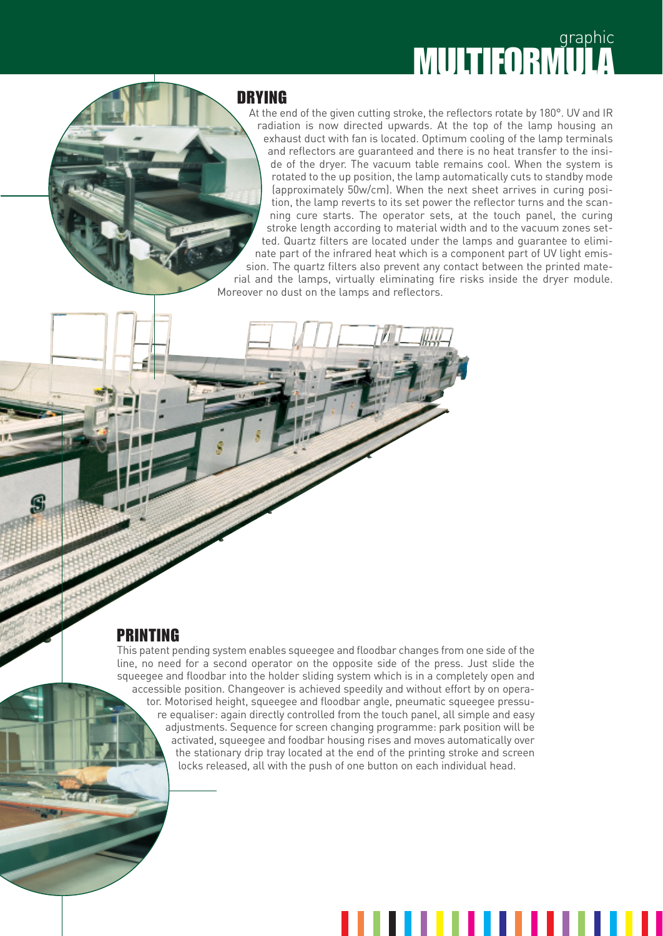## **MULTIFORMULA**

#### DRYING

At the end of the given cutting stroke, the reflectors rotate by 180°. UV and IR radiation is now directed upwards. At the top of the lamp housing an exhaust duct with fan is located. Optimum cooling of the lamp terminals and reflectors are guaranteed and there is no heat transfer to the inside of the dryer. The vacuum table remains cool. When the system is rotated to the up position, the lamp automatically cuts to standby mode (approximately 50w/cm). When the next sheet arrives in curing position, the lamp reverts to its set power the reflector turns and the scanning cure starts. The operator sets, at the touch panel, the curing stroke length according to material width and to the vacuum zones setted. Quartz filters are located under the lamps and guarantee to eliminate part of the infrared heat which is a component part of UV light emission. The quartz filters also prevent any contact between the printed material and the lamps, virtually eliminating fire risks inside the dryer module. Moreover no dust on the lamps and reflectors.

#### PRINTING

This patent pending system enables squeegee and floodbar changes from one side of the line, no need for a second operator on the opposite side of the press. Just slide the squeegee and floodbar into the holder sliding system which is in a completely open and accessible position. Changeover is achieved speedily and without effort by on operator. Motorised height, squeegee and floodbar angle, pneumatic squeegee pressure equaliser: again directly controlled from the touch panel, all simple and easy adjustments. Sequence for screen changing programme: park position will be activated, squeegee and foodbar housing rises and moves automatically over the stationary drip tray located at the end of the printing stroke and screen locks released, all with the push of one button on each individual head.